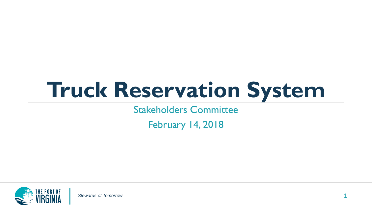# **Truck Reservation System**

Stakeholders Committee

February 14, 2018

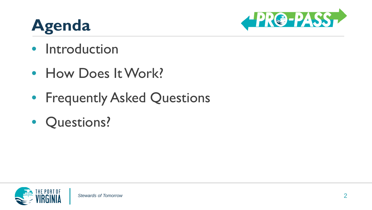## **Agenda**



- Introduction
- How Does It Work?
- Frequently Asked Questions
- Questions?

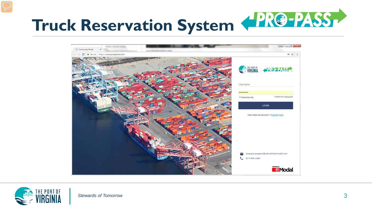



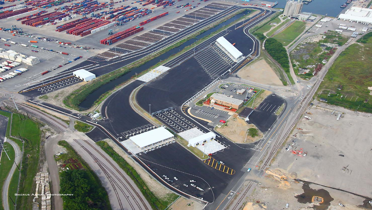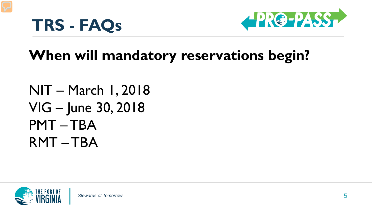



### **When will mandatory reservations begin?**

NIT – March 1, 2018 VIG – June 30, 2018 PMT – TBA RMT – TBA

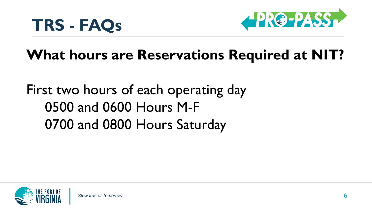



### **What hours are Reservations Required at NIT?**

First two hours of each operating day 0500 and 0600 Hours M-F 0700 and 0800 Hours Saturday

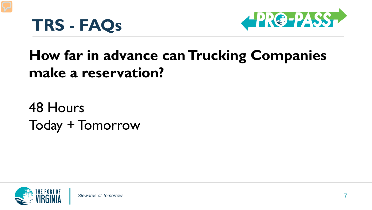



## **How far in advance can Trucking Companies make a reservation?**

48 Hours Today + Tomorrow

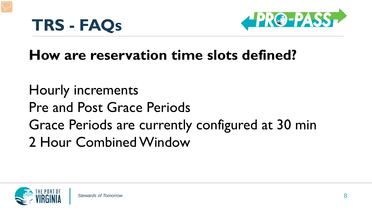



### **How are reservation time slots defined?**

Hourly increments Pre and Post Grace Periods Grace Periods are currently configured at 30 min 2 Hour Combined Window

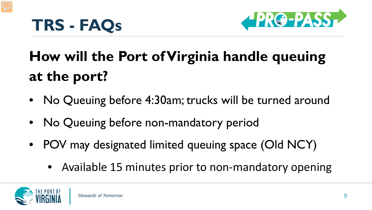



# **How will the Port of Virginia handle queuing at the port?**

- No Queuing before 4:30am; trucks will be turned around
- No Queuing before non-mandatory period
- POV may designated limited queuing space (Old NCY)
	- Available 15 minutes prior to non-mandatory opening

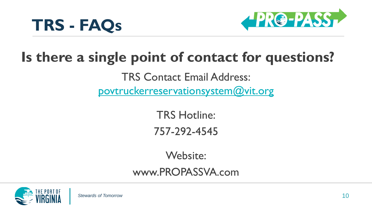



#### **Is there a single point of contact for questions?**

TRS Contact Email Address: [povtruckerreservationsystem@vit.org](mailto:povtruckerreservations@vit.org)

> TRS Hotline: 757-292-4545

> > Website:

www.PROPASSVA.com